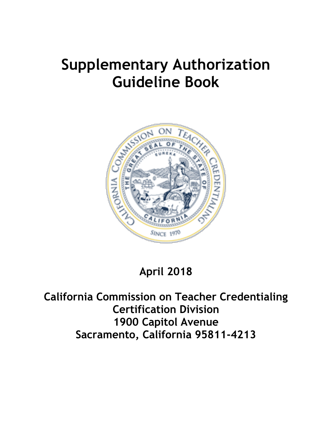# **Supplementary Authorization Guideline Book**



## **April 2018**

**California Commission on Teacher Credentialing Certification Division 1900 Capitol Avenue Sacramento, California 95811-4213**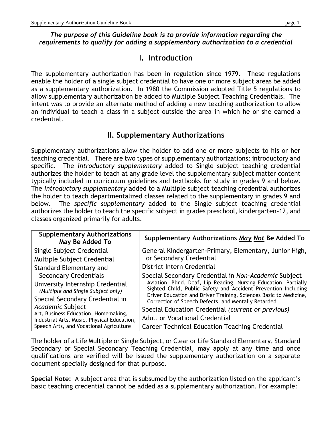#### *The purpose of this Guideline book is to provide information regarding the requirements to qualify for adding a supplementary authorization to a credential*

## **I. Introduction**

The supplementary authorization has been in regulation since 1979. These regulations enable the holder of a single subject credential to have one or more subject areas be added as a supplementary authorization. In 1980 the Commission adopted Title 5 regulations to allow supplementary authorization be added to Multiple Subject Teaching Credentials. The intent was to provide an alternate method of adding a new teaching authorization to allow an individual to teach a class in a subject outside the area in which he or she earned a credential.

## **II. Supplementary Authorizations**

Supplementary authorizations allow the holder to add one or more subjects to his or her teaching credential. There are two types of supplementary authorizations; introductory and specific. The *introductory supplementary* added to Single subject teaching credential authorizes the holder to teach at any grade level the supplementary subject matter content typically included in curriculum guidelines and textbooks for study in grades 9 and below. The *introductory supplementary* added to a Multiple subject teaching credential authorizes the holder to teach departmentalized classes related to the supplementary in grades 9 and below. The *specific supplementary* added to the Single subject teaching credential authorizes the holder to teach the specific subject in grades preschool, kindergarten-12, and classes organized primarily for adults.

| <b>Supplementary Authorizations</b><br>May Be Added To                                                  | Supplementary Authorizations May Not Be Added To                                                                                   |
|---------------------------------------------------------------------------------------------------------|------------------------------------------------------------------------------------------------------------------------------------|
| Single Subject Credential                                                                               | General Kindergarten-Primary, Elementary, Junior High,                                                                             |
| Multiple Subject Credential                                                                             | or Secondary Credential                                                                                                            |
| Standard Elementary and                                                                                 | District Intern Credential                                                                                                         |
| <b>Secondary Credentials</b>                                                                            | Special Secondary Credential in Non-Academic Subject                                                                               |
| University Internship Credential<br>(Multiple and Single Subject only)                                  | Aviation, Blind, Deaf, Lip Reading, Nursing Education, Partially<br>Sighted Child, Public Safety and Accident Prevention Including |
| Special Secondary Credential in                                                                         | Driver Education and Driver Training, Sciences Basic to Medicine,<br>Correction of Speech Defects, and Mentally Retarded           |
| Academic Subject<br>Art, Business Education, Homemaking,<br>Industrial Arts, Music, Physical Education, | Special Education Credential (current or previous)                                                                                 |
|                                                                                                         | <b>Adult or Vocational Credential</b>                                                                                              |
| Speech Arts, and Vocational Agriculture                                                                 | <b>Career Technical Education Teaching Credential</b>                                                                              |

The holder of a Life Multiple or Single Subject, or Clear or Life Standard Elementary, Standard Secondary or Special Secondary Teaching Credential, may apply at any time and once qualifications are verified will be issued the supplementary authorization on a separate document specially designed for that purpose.

**Special Note:** A subject area that is subsumed by the authorization listed on the applicant's basic teaching credential cannot be added as a supplementary authorization. For example: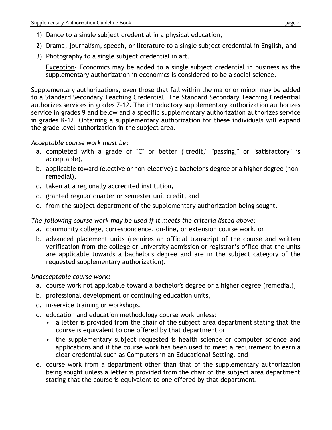- 1) Dance to a single subject credential in a physical education,
- 2) Drama, journalism, speech, or literature to a single subject credential in English, and
- 3) Photography to a single subject credential in art.

Exception- Economics may be added to a single subject credential in business as the supplementary authorization in economics is considered to be a social science.

Supplementary authorizations, even those that fall within the major or minor may be added to a Standard Secondary Teaching Credential. The Standard Secondary Teaching Credential authorizes services in grades 7-12. The introductory supplementary authorization authorizes service in grades 9 and below and a specific supplementary authorization authorizes service in grades K-12. Obtaining a supplementary authorization for these individuals will expand the grade level authorization in the subject area.

#### *Acceptable course work must be:*

- a. completed with a grade of "C" or better ("credit," "passing," or "satisfactory" is acceptable),
- b. applicable toward (elective or non-elective) a bachelor's degree or a higher degree (nonremedial),
- c. taken at a regionally accredited institution,
- d. granted regular quarter or semester unit credit, and
- e. from the subject department of the supplementary authorization being sought.

*The following course work may be used if it meets the criteria listed above:*

- a. community college, correspondence, on-line, or extension course work, or
- b. advanced placement units (requires an official transcript of the course and written verification from the college or university admission or registrar's office that the units are applicable towards a bachelor's degree and are in the subject category of the requested supplementary authorization).

*Unacceptable course work:*

- a. course work not applicable toward a bachelor's degree or a higher degree (remedial),
- b. professional development or continuing education units,
- c. in-service training or workshops,
- d. education and education methodology course work unless:
	- a letter is provided from the chair of the subject area department stating that the course is equivalent to one offered by that department or
	- the supplementary subject requested is health science or computer science and applications and if the course work has been used to meet a requirement to earn a clear credential such as Computers in an Educational Setting, and
- e. course work from a department other than that of the supplementary authorization being sought unless a letter is provided from the chair of the subject area department stating that the course is equivalent to one offered by that department.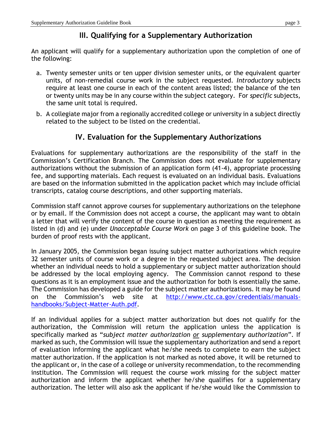## **III. Qualifying for a Supplementary Authorization**

An applicant will qualify for a supplementary authorization upon the completion of one of the following:

- a. Twenty semester units or ten upper division semester units, or the equivalent quarter units, of non-remedial course work in the subject requested. *Introductory* subjects require at least one course in each of the content areas listed; the balance of the ten or twenty units may be in any course within the subject category. For *specific* subjects, the same unit total is required.
- b. A collegiate major from a regionally accredited college or university in a subject directly related to the subject to be listed on the credential.

## **IV. Evaluation for the Supplementary Authorizations**

Evaluations for supplementary authorizations are the responsibility of the staff in the Commission's Certification Branch. The Commission does not evaluate for supplementary authorizations without the submission of an application form (41-4), appropriate processing fee, and supporting materials. Each request is evaluated on an individual basis. Evaluations are based on the information submitted in the application packet which may include official transcripts, catalog course descriptions, and other supporting materials.

Commission staff cannot approve courses for supplementary authorizations on the telephone or by email. If the Commission does not accept a course, the applicant may want to obtain a letter that will verify the content of the course in question as meeting the requirement as listed in (d) and (e) under *Unacceptable Course Work* on page 3 of this guideline book. The burden of proof rests with the applicant.

In January 2005, the Commission began issuing subject matter authorizations which require 32 semester units of course work or a degree in the requested subject area. The decision whether an individual needs to hold a supplementary or subject matter authorization should be addressed by the local employing agency. The Commission cannot respond to these questions as it is an employment issue and the authorization for both is essentially the same. The Commission has developed a guide for the subject matter authorizations. It may be found on the Commission's web site at [http://www.ctc.ca.gov/credentials/manuals](http://www.ctc.ca.gov/credentials/manuals-handbooks/Subject-Matter-Auth.pdf)[handbooks/Subject-Matter-Auth.pdf.](http://www.ctc.ca.gov/credentials/manuals-handbooks/Subject-Matter-Auth.pdf)

If an individual applies for a subject matter authorization but does not qualify for the authorization, the Commission will return the application unless the application is specifically marked as "*subject matter authorization or supplementary authorization*". If marked as such, the Commission will issue the supplementary authorization and send a report of evaluation informing the applicant what he/she needs to complete to earn the subject matter authorization. If the application is not marked as noted above, it will be returned to the applicant or, in the case of a college or university recommendation, to the recommending institution. The Commission will request the course work missing for the subject matter authorization and inform the applicant whether he/she qualifies for a supplementary authorization. The letter will also ask the applicant if he/she would like the Commission to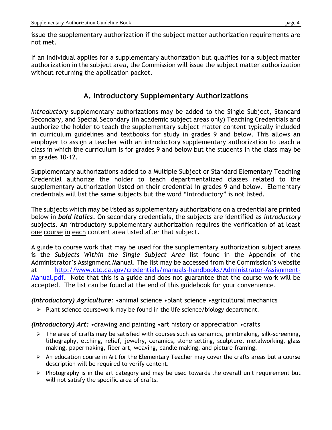issue the supplementary authorization if the subject matter authorization requirements are not met.

If an individual applies for a supplementary authorization but qualifies for a subject matter authorization in the subject area, the Commission will issue the subject matter authorization without returning the application packet.

## **A. Introductory Supplementary Authorizations**

*Introductory* supplementary authorizations may be added to the Single Subject, Standard Secondary, and Special Secondary (in academic subject areas only) Teaching Credentials and authorize the holder to teach the supplementary subject matter content typically included in curriculum guidelines and textbooks for study in grades 9 and below. This allows an employer to assign a teacher with an introductory supplementary authorization to teach a class in which the curriculum is for grades 9 and below but the students in the class may be in grades 10-12.

Supplementary authorizations added to a Multiple Subject or Standard Elementary Teaching Credential authorize the holder to teach departmentalized classes related to the supplementary authorization listed on their credential in grades 9 and below. Elementary credentials will list the same subjects but the word "Introductory" is not listed.

The subjects which may be listed as supplementary authorizations on a credential are printed below in *bold italics.* On secondary credentials, the subjects are identified as *introductory*  subjects. An introductory supplementary authorization requires the verification of at least one course in each content area listed after that subject.

A guide to course work that may be used for the supplementary authorization subject areas is the *Subjects Within the Single Subject Area* list found in the Appendix of the Administrator's Assignment Manual. The list may be accessed from the Commission's website at [http://www.ctc.ca.gov/credentials/manuals-handbooks/Administrator-Assignment-](http://www.ctc.ca.gov/credentials/manuals-handbooks/Administrator-Assignment-Manual.pdf)[Manual.pdf.](http://www.ctc.ca.gov/credentials/manuals-handbooks/Administrator-Assignment-Manual.pdf) Note that this is a guide and does not guarantee that the course work will be accepted. The list can be found at the end of this guidebook for your convenience.

*(Introductory) Agriculture:* •animal science •plant science •agricultural mechanics

 $\triangleright$  Plant science coursework may be found in the life science/biology department.

*(Introductory) Art:* •drawing and painting •art history or appreciation •crafts

- > The area of crafts may be satisfied with courses such as ceramics, printmaking, silk-screening, lithography, etching, relief, jewelry, ceramics, stone setting, sculpture, metalworking, glass making, papermaking, fiber art, weaving, candle making, and picture framing.
- $\triangleright$  An education course in Art for the Elementary Teacher may cover the crafts areas but a course description will be required to verify content.
- $\triangleright$  Photography is in the art category and may be used towards the overall unit requirement but will not satisfy the specific area of crafts.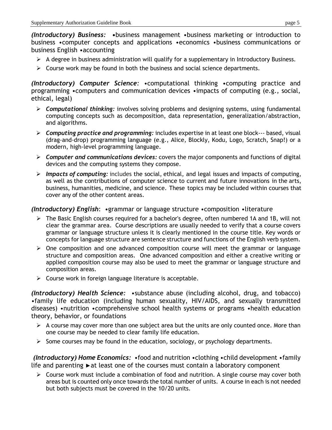*(Introductory) Business:* **•**business management •business marketing or introduction to business •computer concepts and applications •economics •business communications or business English •accounting

- $\triangleright$  A degree in business administration will qualify for a supplementary in Introductory Business.
- $\triangleright$  Course work may be found in both the business and social science departments.

*(Introductory) Computer Science:* •computational thinking •computing practice and programming •computers and communication devices •impacts of computing (e.g., social, ethical, legal)

- *Computational thinking:* involves solving problems and designing systems, using fundamental computing concepts such as decomposition, data representation, generalization/abstraction, and algorithms.
- *Computing practice and programming:* includes expertise in at least one block--‐ based, visual (drag‐and‐drop) programming language (e.g., Alice, Blockly, Kodu, Logo, Scratch, Snap!) or a modern, high‐level programming language.
- *Computer and communications devices:* covers the major components and functions of digital devices and the computing systems they compose.
- *Impacts of computing:* includes the social, ethical, and legal issues and impacts of computing, as well as the contributions of computer science to current and future innovations in the arts, business, humanities, medicine, and science. These topics may be included within courses that cover any of the other content areas.

#### *(Introductory) English*: •grammar or language structure •composition •literature

- The Basic English courses required for a bachelor's degree, often numbered 1A and 1B, will not clear the grammar area. Course descriptions are usually needed to verify that a course covers grammar or language structure unless it is clearly mentioned in the course title. Key words or concepts for language structure are sentence structure and functions of the English verb system.
- $\triangleright$  One composition and one advanced composition course will meet the grammar or language structure and composition areas. One advanced composition and either a creative writing or applied composition course may also be used to meet the grammar or language structure and composition areas.
- $\triangleright$  Course work in foreign language literature is acceptable.

*(Introductory) Health Science:* •substance abuse (including alcohol, drug, and tobacco) •family life education (including human sexuality, HIV/AIDS, and sexually transmitted diseases) •nutrition •comprehensive school health systems or programs •health education theory, behavior, or foundations

- $\triangleright$  A course may cover more than one subject area but the units are only counted once. More than one course may be needed to clear family life education.
- $\triangleright$  Some courses may be found in the education, sociology, or psychology departments.

*(Introductory) Home Economics:* •food and nutrition •clothing •child development •family life and parenting ►at least one of the courses must contain a laboratory component

 $\triangleright$  Course work must include a combination of food and nutrition. A single course may cover both areas but is counted only once towards the total number of units. A course in each is not needed but both subjects must be covered in the 10/20 units.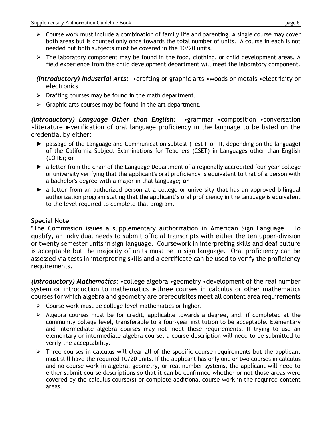- $\triangleright$  Course work must include a combination of family life and parenting. A single course may cover both areas but is counted only once towards the total number of units. A course in each is not needed but both subjects must be covered in the 10/20 units.
- $\triangleright$  The laboratory component may be found in the food, clothing, or child development areas. A field experience from the child development department will meet the laboratory component.

*(Introductory) Industrial Arts*: •drafting or graphic arts •woods or metals •electricity or electronics

- $\triangleright$  Drafting courses may be found in the math department.
- $\triangleright$  Graphic arts courses may be found in the art department.

*(Introductory) Language Other than English:* •grammar •composition •conversation •literature ►verification of oral language proficiency in the language to be listed on the credential by either:

- ► passage of the Language and Communication subtest (Test II or III, depending on the language) of the California Subject Examinations for Teachers (CSET) in Languages other than English (LOTE); **or**
- ► a letter from the chair of the Language Department of a regionally accredited four-year college or university verifying that the applicant's oral proficiency is equivalent to that of a person with a bachelor's degree with a major in that language; **or**
- ► a letter from an authorized person at a college or university that has an approved bilingual authorization program stating that the applicant's oral proficiency in the language is equivalent to the level required to complete that program.

#### **Special Note**

\*The Commission issues a supplementary authorization in American Sign Language. To qualify, an individual needs to submit official transcripts with either the ten upper-division or twenty semester units in sign language. Coursework in interpreting skills and deaf culture is acceptable but the majority of units must be in sign language. Oral proficiency can be assessed via tests in interpreting skills and a certificate can be used to verify the proficiency requirements.

*(Introductory) Mathematics:* •college algebra •geometry •development of the real number system or introduction to mathematics ► three courses in calculus or other mathematics courses for which algebra and geometry are prerequisites meet all content area requirements

- $\triangleright$  Course work must be college level mathematics or higher.
- $\triangleright$  Algebra courses must be for credit, applicable towards a degree, and, if completed at the community college level, transferable to a four-year institution to be acceptable. Elementary and intermediate algebra courses may not meet these requirements. If trying to use an elementary or intermediate algebra course, a course description will need to be submitted to verify the acceptability.
- $\triangleright$  Three courses in calculus will clear all of the specific course requirements but the applicant must still have the required 10/20 units. If the applicant has only one or two courses in calculus and no course work in algebra, geometry, or real number systems, the applicant will need to either submit course descriptions so that it can be confirmed whether or not those areas were covered by the calculus course(s) or complete additional course work in the required content areas.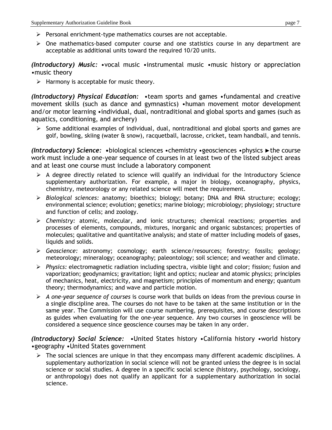- $\triangleright$  Personal enrichment-type mathematics courses are not acceptable.
- $\triangleright$  One mathematics-based computer course and one statistics course in any department are acceptable as additional units toward the required 10/20 units.

*(Introductory) Music:* •vocal music •instrumental music •music history or appreciation •music theory

 $\triangleright$  Harmony is acceptable for music theory.

*(Introductory) Physical Education:* •team sports and games •fundamental and creative movement skills (such as dance and gymnastics) •human movement motor development and/or motor learning •individual, dual, nontraditional and global sports and games (such as aquatics, conditioning, and archery)

 $\triangleright$  Some additional examples of individual, dual, nontraditional and global sports and games are golf, bowling, skiing (water & snow), racquetball, lacrosse, cricket, team handball, and tennis.

*(Introductory) Science:* **•**biological sciences •chemistry •geosciences •physics ►the course work must include a one-year sequence of courses in at least two of the listed subject areas and at least one course must include a laboratory component

- $\triangleright$  A degree directly related to science will qualify an individual for the Introductory Science supplementary authorization. For example, a major in biology, oceanography, physics, chemistry, meteorology or any related science will meet the requirement.
- *Biological sciences:* anatomy; bioethics; biology; botany; DNA and RNA structure; ecology; environmental science; evolution; genetics; marine biology; microbiology; physiology; structure and function of cells; and zoology.
- *Chemistry:* atomic, molecular, and ionic structures; chemical reactions; properties and processes of elements, compounds, mixtures, inorganic and organic substances; properties of molecules; qualitative and quantitative analysis; and state of matter including models of gases, liquids and solids.
- *Geoscience:* astronomy; cosmology; earth science/resources; forestry; fossils; geology; meteorology; mineralogy; oceanography; paleontology; soil science; and weather and climate.
- *Physics:* electromagnetic radiation including spectra, visible light and color; fission; fusion and vaporization; geodynamics; gravitation; light and optics; nuclear and atomic physics; principles of mechanics, heat, electricity, and magnetism; principles of momentum and energy; quantum theory; thermodynamics; and wave and particle motion.
- *A one-year sequence of courses* is course work that builds on ideas from the previous course in a single discipline area. The courses do not have to be taken at the same institution or in the same year. The Commission will use course numbering, prerequisites, and course descriptions as guides when evaluating for the one-year sequence. Any two courses in geoscience will be considered a sequence since geoscience courses may be taken in any order.

*(Introductory) Social Science:* •United States history •California history •world history •geography •United States government

 $\triangleright$  The social sciences are unique in that they encompass many different academic disciplines. A supplementary authorization in social science will not be granted unless the degree is in social science or social studies. A degree in a specific social science (history, psychology, sociology, or anthropology) does not qualify an applicant for a supplementary authorization in social science.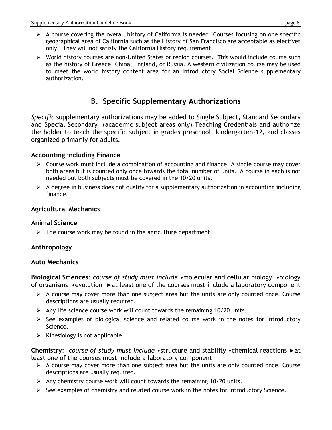- $\triangleright$  A course covering the overall history of California is needed. Courses focusing on one specific geographical area of California such as the History of San Francisco are acceptable as electives only. They will not satisfy the California History requirement.
- World history courses are non-United States or region courses. This would include course such as the history of Greece, China, England, or Russia. A western civilization course may be used to meet the world history content area for an Introductory Social Science supplementary authorization.

## **B. Specific Supplementary Authorizations**

*Specific* supplementary authorizations may be added to Single Subject, Standard Secondary and Special Secondary (academic subject areas only) Teaching Credentials and authorize the holder to teach the specific subject in grades preschool, kindergarten-12, and classes organized primarily for adults.

#### **Accounting including Finance**

- $\triangleright$  Course work must include a combination of accounting and finance. A single course may cover both areas but is counted only once towards the total number of units. A course in each is not needed but both subjects must be covered in the 10/20 units.
- $\triangleright$  A degree in business does not qualify for a supplementary authorization in accounting including finance.

#### **Agricultural Mechanics**

#### **Animal Science**

 $\triangleright$  The course work may be found in the agriculture department.

#### **Anthropology**

#### **Auto Mechanics**

**Biological Sciences**: *course of study must include* •molecular and cellular biology •biology of organisms •evolution ►at least one of the courses must include a laboratory component

- $\triangleright$  A course may cover more than one subject area but the units are only counted once. Course descriptions are usually required.
- $\triangleright$  Any life science course work will count towards the remaining 10/20 units.
- $\triangleright$  See examples of biological science and related course work in the notes for Introductory Science.
- $\triangleright$  Kinesiology is not applicable.

**Chemistry**: *course of study must include* •structure and stability •chemical reactions ►at least one of the courses must include a laboratory component

- $\triangleright$  A course may cover more than one subject area but the units are only counted once. Course descriptions are usually required.
- $\triangleright$  Any chemistry course work will count towards the remaining 10/20 units.
- $\triangleright$  See examples of chemistry and related course work in the notes for Introductory Science.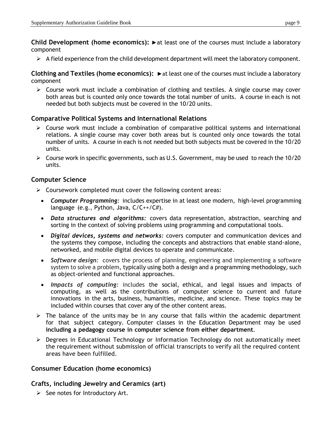**Child Development (home economics):** ►at least one of the courses must include a laboratory component

 $\triangleright$  A field experience from the child development department will meet the laboratory component.

**Clothing and Textiles (home economics):** ►at least one of the courses must include a laboratory component

 $\triangleright$  Course work must include a combination of clothing and textiles. A single course may cover both areas but is counted only once towards the total number of units. A course in each is not needed but both subjects must be covered in the 10/20 units.

#### **Comparative Political Systems and International Relations**

- $\triangleright$  Course work must include a combination of comparative political systems and international relations. A single course may cover both areas but is counted only once towards the total number of units. A course in each is not needed but both subjects must be covered in the 10/20 units.
- $\triangleright$  Course work in specific governments, such as U.S. Government, may be used to reach the 10/20 units.

#### **Computer Science**

- $\triangleright$  Coursework completed must cover the following content areas:
	- *Computer Programming:* includes expertise in at least one modern, high-level programming language  $(e.g., Python, Java, C/C++/CH).$
	- *Data structures and algorithms:* covers data representation, abstraction, searching and sorting in the context of solving problems using programming and computational tools.
	- *Digital devices, systems and networks:* covers computer and communication devices and the systems they compose, including the concepts and abstractions that enable stand-alone, networked, and mobile digital devices to operate and communicate.
	- *Software design:* covers the process of planning, engineering and implementing a software system to solve a problem, typically using both a design and a programming methodology, such as object-oriented and functional approaches.
	- *Impacts of computing:* includes the social, ethical, and legal issues and impacts of computing, as well as the contributions of computer science to current and future innovations in the arts, business, humanities, medicine, and science. These topics may be included within courses that cover any of the other content areas.
- $\triangleright$  The balance of the units may be in any course that falls within the academic department for that subject category. Computer classes in the Education Department may be used **including a pedagogy course in computer science from either department**.
- Degrees in Educational Technology or Information Technology do not automatically meet the requirement without submission of official transcripts to verify all the required content areas have been fulfilled.

#### **Consumer Education (home economics)**

#### **Crafts, including Jewelry and Ceramics (art)**

 $\triangleright$  See notes for Introductory Art.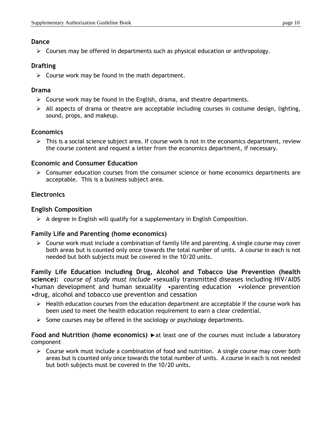#### **Dance**

 $\triangleright$  Courses may be offered in departments such as physical education or anthropology.

## **Drafting**

 $\triangleright$  Course work may be found in the math department.

#### **Drama**

- $\triangleright$  Course work may be found in the English, drama, and theatre departments.
- $\triangleright$  All aspects of drama or theatre are acceptable including courses in costume design, lighting, sound, props, and makeup.

## **Economics**

 $\triangleright$  This is a social science subject area. If course work is not in the economics department, review the course content and request a letter from the economics department, if necessary.

#### **Economic and Consumer Education**

 $\triangleright$  Consumer education courses from the consumer science or home economics departments are acceptable. This is a business subject area.

## **Electronics**

## **English Composition**

 $\triangleright$  A degree in English will qualify for a supplementary in English Composition.

#### **Family Life and Parenting (home economics)**

 $\triangleright$  Course work must include a combination of family life and parenting. A single course may cover both areas but is counted only once towards the total number of units. A course in each is not needed but both subjects must be covered in the 10/20 units.

**Family Life Education including Drug, Alcohol and Tobacco Use Prevention (health science):** *course of study must include* •sexually transmitted diseases including HIV/AIDS •human development and human sexuality •parenting education •violence prevention •drug, alcohol and tobacco use prevention and cessation

- $\triangleright$  Health education courses from the education department are acceptable if the course work has been used to meet the health education requirement to earn a clear credential.
- $\triangleright$  Some courses may be offered in the sociology or psychology departments.

#### **Food and Nutrition (home economics)** ►at least one of the courses must include a laboratory component

 $\triangleright$  Course work must include a combination of food and nutrition. A single course may cover both areas but is counted only once towards the total number of units. A course in each is not needed but both subjects must be covered in the 10/20 units.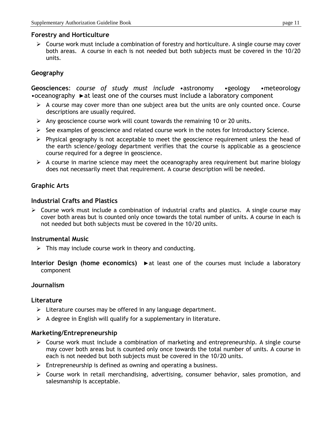#### **Forestry and Horticulture**

 $\triangleright$  Course work must include a combination of forestry and horticulture. A single course may cover both areas. A course in each is not needed but both subjects must be covered in the 10/20 units.

#### **Geography**

**Geosciences**: *course of study must include* •astronomy •geology •meteorology •oceanography ►at least one of the courses must include a laboratory component

- $\triangleright$  A course may cover more than one subject area but the units are only counted once. Course descriptions are usually required.
- $\triangleright$  Any geoscience course work will count towards the remaining 10 or 20 units.
- $\triangleright$  See examples of geoscience and related course work in the notes for Introductory Science.
- $\triangleright$  Physical geography is not acceptable to meet the geoscience requirement unless the head of the earth science/geology department verifies that the course is applicable as a geoscience course required for a degree in geoscience.
- $\triangleright$  A course in marine science may meet the oceanography area requirement but marine biology does not necessarily meet that requirement. A course description will be needed.

#### **Graphic Arts**

#### **Industrial Crafts and Plastics**

 $\triangleright$  Course work must include a combination of industrial crafts and plastics. A single course may cover both areas but is counted only once towards the total number of units. A course in each is not needed but both subjects must be covered in the 10/20 units.

#### **Instrumental Music**

- $\triangleright$  This may include course work in theory and conducting.
- **Interior Design (home economics)** ►at least one of the courses must include a laboratory component

#### **Journalism**

#### **Literature**

- $\triangleright$  Literature courses may be offered in any language department.
- $\triangleright$  A degree in English will qualify for a supplementary in literature.

#### **Marketing/Entrepreneurship**

- $\triangleright$  Course work must include a combination of marketing and entrepreneurship. A single course may cover both areas but is counted only once towards the total number of units. A course in each is not needed but both subjects must be covered in the 10/20 units.
- $\triangleright$  Entrepreneurship is defined as owning and operating a business.
- $\triangleright$  Course work in retail merchandising, advertising, consumer behavior, sales promotion, and salesmanship is acceptable.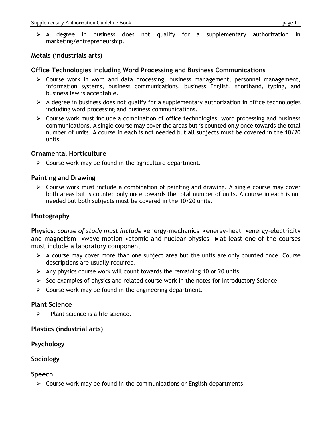$\triangleright$  A degree in business does not qualify for a supplementary authorization in marketing/entrepreneurship.

#### **Metals (industrials arts)**

#### **Office Technologies Including Word Processing and Business Communications**

- Course work in word and data processing, business management, personnel management, information systems, business communications, business English, shorthand, typing, and business law is acceptable.
- $\triangleright$  A degree in business does not qualify for a supplementary authorization in office technologies including word processing and business communications.
- $\triangleright$  Course work must include a combination of office technologies, word processing and business communications. A single course may cover the areas but is counted only once towards the total number of units. A course in each is not needed but all subjects must be covered in the 10/20 units.

#### **Ornamental Horticulture**

 $\triangleright$  Course work may be found in the agriculture department.

#### **Painting and Drawing**

 $\triangleright$  Course work must include a combination of painting and drawing. A single course may cover both areas but is counted only once towards the total number of units. A course in each is not needed but both subjects must be covered in the 10/20 units.

#### **Photography**

**Physics**: *course of study must include* •energy-mechanics •energy-heat •energy-electricity and magnetism •wave motion •atomic and nuclear physics ►at least one of the courses must include a laboratory component

- $\triangleright$  A course may cover more than one subject area but the units are only counted once. Course descriptions are usually required.
- $\triangleright$  Any physics course work will count towards the remaining 10 or 20 units.
- $\triangleright$  See examples of physics and related course work in the notes for Introductory Science.
- $\triangleright$  Course work may be found in the engineering department.

#### **Plant Science**

 $\triangleright$  Plant science is a life science.

#### **Plastics (industrial arts)**

#### **Psychology**

#### **Sociology**

#### **Speech**

 $\triangleright$  Course work may be found in the communications or English departments.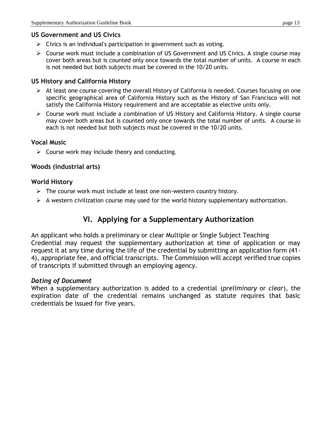#### **US Government and US Civics**

- $\triangleright$  Civics is an individual's participation in government such as voting.
- $\triangleright$  Course work must include a combination of US Government and US Civics. A single course may cover both areas but is counted only once towards the total number of units. A course in each is not needed but both subjects must be covered in the 10/20 units.

#### **US History and California History**

- $\triangleright$  At least one course covering the overall History of California is needed. Courses focusing on one specific geographical area of California History such as the History of San Francisco will not satisfy the California History requirement and are acceptable as elective units only.
- Course work must include a combination of US History and California History. A single course may cover both areas but is counted only once towards the total number of units. A course in each is not needed but both subjects must be covered in the 10/20 units.

#### **Vocal Music**

 $\triangleright$  Course work may include theory and conducting.

#### **Woods (industrial arts)**

#### **World History**

- $\triangleright$  The course work must include at least one non-western country history.
- $\triangleright$  A western civilization course may used for the world history supplementary authorization.

## **VI. Applying for a Supplementary Authorization**

An applicant who holds a preliminary or clear Multiple or Single Subject Teaching Credential may request the supplementary authorization at time of application or may request it at any time during the life of the credential by submitting an application form (41- 4), appropriate fee, and official transcripts. The Commission will accept verified true copies of transcripts if submitted through an employing agency.

#### *Dating of Document*

When a supplementary authorization is added to a credential (*preliminary* or *clear*), the expiration date of the credential remains unchanged as statute requires that basic credentials be issued for five years.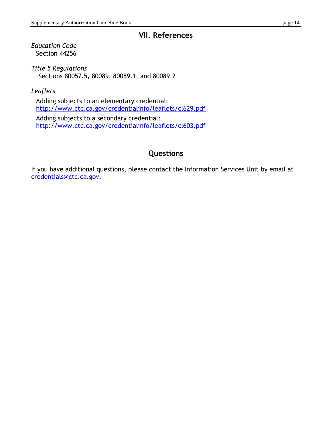## **VII. References**

*Education Code* Section 44256

*Title 5 Regulations* Sections 80057.5, 80089, 80089.1, and 80089.2

*Leaflets*

Adding subjects to an elementary credential: <http://www.ctc.ca.gov/credentialinfo/leaflets/cl629.pdf> Adding subjects to a secondary credential: <http://www.ctc.ca.gov/credentialinfo/leaflets/cl603.pdf>

## **Questions**

If you have additional questions, please contact the Information Services Unit by email at [credentials@ctc.ca.gov.](mailto:credentials@ctc.ca.gov)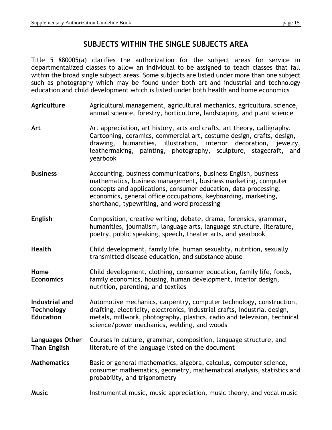## **SUBJECTS WITHIN THE SINGLE SUBJECTS AREA**

Title 5 §80005(a) clarifies the authorization for the subject areas for service in departmentalized classes to allow an individual to be assigned to teach classes that fall within the broad single subject areas. Some subjects are listed under more than one subject such as photography which may be found under both art and industrial and technology education and child development which is listed under both health and home economics

- **Agriculture** Agricultural management, agricultural mechanics, agricultural science, animal science, forestry, horticulture, landscaping, and plant science
- **Art** Art appreciation, art history, arts and crafts, art theory, calligraphy, Cartooning, ceramics, commercial art, costume design, crafts, design, drawing, humanities, illustration, interior decoration, jewelry, leathermaking, painting, photography, sculpture, stagecraft, and yearbook
- **Business** Accounting, business communications, business English, business mathematics, business management, business marketing, computer concepts and applications, consumer education, data processing, economics, general office occupations, keyboarding, marketing, shorthand, typewriting, and word processing
- **English** Composition, creative writing, debate, drama, forensics, grammar, humanities, journalism, language arts, language structure, literature, poetry, public speaking, speech, theater arts, and yearbook
- **Health** Child development, family life, human sexuality, nutrition, sexually transmitted disease education, and substance abuse
- **Home** Child development, clothing, consumer education, family life, foods, **Economics** family economics, housing, human development, interior design, nutrition, parenting, and textiles

**Industrial and** Automotive mechanics, carpentry, computer technology, construction, **Technology** drafting, electricity, electronics, industrial crafts, industrial design, **Education** metals, millwork, photography, plastics, radio and television, technical science/power mechanics, welding, and woods

- **Languages Other** Courses in culture, grammar, composition, language structure, and **Than English** literature of the language listed on the document
- **Mathematics** Basic or general mathematics, algebra, calculus, computer science, consumer mathematics, geometry, mathematical analysis, statistics and probability, and trigonometry
- **Music** Instrumental music, music appreciation, music theory, and vocal music